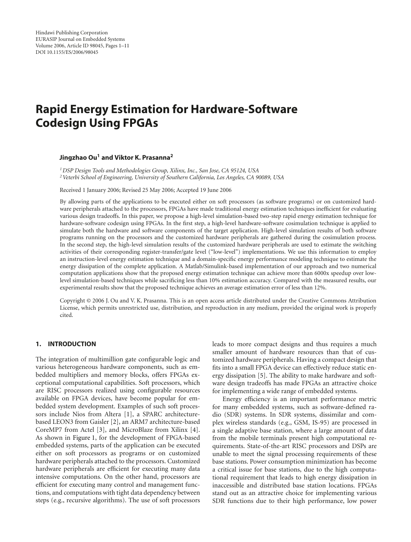# **Rapid Energy Estimation for Hardware-Software Codesign Using FPGAs**

## **Jingzhao Ou1 and Viktor K. Prasanna2**

*1DSP Design Tools and Methodologies Group, Xilinx, Inc., San Jose, CA 95124, USA 2Veterbi School of Engineering, University of Southern California, Los Angeles, CA 90089, USA*

Received 1 January 2006; Revised 25 May 2006; Accepted 19 June 2006

By allowing parts of the applications to be executed either on soft processors (as software programs) or on customized hardware peripherals attached to the processors, FPGAs have made traditional energy estimation techniques inefficient for evaluating various design tradeoffs. In this paper, we propose a high-level simulation-based two-step rapid energy estimation technique for hardware-software codesign using FPGAs. In the first step, a high-level hardware-software cosimulation technique is applied to simulate both the hardware and software components of the target application. High-level simulation results of both software programs running on the processors and the customized hardware peripherals are gathered during the cosimulation process. In the second step, the high-level simulation results of the customized hardware peripherals are used to estimate the switching activities of their corresponding register-transfer/gate level ("low-level") implementations. We use this information to employ an instruction-level energy estimation technique and a domain-specific energy performance modeling technique to estimate the energy dissipation of the complete application. A Matlab/Simulink-based implementation of our approach and two numerical computation applications show that the proposed energy estimation technique can achieve more than 6000x speedup over lowlevel simulation-based techniques while sacrificing less than 10% estimation accuracy. Compared with the measured results, our experimental results show that the proposed technique achieves an average estimation error of less than 12%.

Copyright © 2006 J. Ou and V. K. Prasanna. This is an open access article distributed under the Creative Commons Attribution License, which permits unrestricted use, distribution, and reproduction in any medium, provided the original work is properly cited.

## **1. INTRODUCTION**

The integration of multimillion gate configurable logic and various heterogeneous hardware components, such as embedded multipliers and memory blocks, offers FPGAs exceptional computational capabilities. Soft processors, which are RISC processors realized using configurable resources available on FPGA devices, have become popular for embedded system development. Examples of such soft processors include Nios from Altera [\[1](#page-9-1)], a SPARC architecturebased LEON3 from Gaisler [\[2\]](#page-9-2), an ARM7 architecture-based CoreMP7 from Actel [\[3\]](#page-9-3), and MicroBlaze from Xilinx [\[4](#page-9-4)]. As shown in [Figure 1,](#page-1-0) for the development of FPGA-based embedded systems, parts of the application can be executed either on soft processors as programs or on customized hardware peripherals attached to the processors. Customized hardware peripherals are efficient for executing many data intensive computations. On the other hand, processors are efficient for executing many control and management functions, and computations with tight data dependency between steps (e.g., recursive algorithms). The use of soft processors

leads to more compact designs and thus requires a much smaller amount of hardware resources than that of customized hardware peripherals. Having a compact design that fits into a small FPGA device can effectively reduce static energy dissipation [\[5\]](#page-9-5). The ability to make hardware and software design tradeoffs has made FPGAs an attractive choice for implementing a wide range of embedded systems.

Energy efficiency is an important performance metric for many embedded systems, such as software-defined radio (SDR) systems. In SDR systems, dissimilar and complex wireless standards (e.g., GSM, IS-95) are processed in a single adaptive base station, where a large amount of data from the mobile terminals present high computational requirements. State-of-the-art RISC processors and DSPs are unable to meet the signal processing requirements of these base stations. Power consumption minimization has become a critical issue for base stations, due to the high computational requirement that leads to high energy dissipation in inaccessible and distributed base station locations. FPGAs stand out as an attractive choice for implementing various SDR functions due to their high performance, low power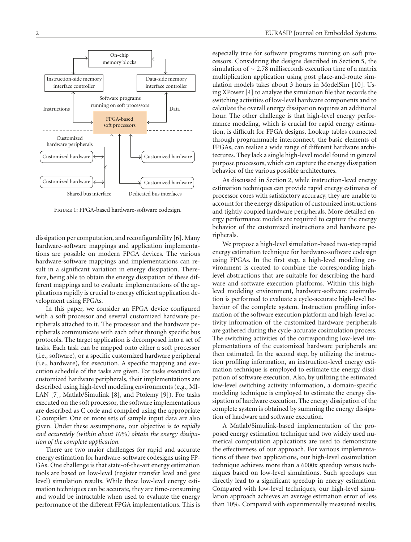

Figure 1: FPGA-based hardware-software codesign.

<span id="page-1-0"></span>dissipation per computation, and reconfigurability [\[6\]](#page-10-0). Many hardware-software mappings and application implementations are possible on modern FPGA devices. The various hardware-software mappings and implementations can result in a significant variation in energy dissipation. Therefore, being able to obtain the energy dissipation of these different mappings and to evaluate implementations of the applications rapidly is crucial to energy efficient application development using FPGAs.

In this paper, we consider an FPGA device configured with a soft processor and several customized hardware peripherals attached to it. The processor and the hardware peripherals communicate with each other through specific bus protocols. The target application is decomposed into a set of tasks. Each task can be mapped onto either a soft processor (i.e., software), or a specific customized hardware peripheral (i.e., hardware), for execution. A specific mapping and execution schedule of the tasks are given. For tasks executed on customized hardware peripherals, their implementations are described using high-level modeling environments (e.g., MI-LAN [\[7\]](#page-10-1), Matlab/Simulink [\[8](#page-10-2)], and Ptolemy [\[9](#page-10-3)]). For tasks executed on the soft processor, the software implementations are described as C code and compiled using the appropriate C compiler. One or more sets of sample input data are also given. Under these assumptions, our objective is *to rapidly and accurately (within about 10%) obtain the energy dissipation of the complete application.*

There are two major challenges for rapid and accurate energy estimation for hardware-software codesigns using FP-GAs. One challenge is that state-of-the-art energy estimation tools are based on low-level (register transfer level and gate level) simulation results. While these low-level energy estimation techniques can be accurate, they are time-consuming and would be intractable when used to evaluate the energy performance of the different FPGA implementations. This is

especially true for software programs running on soft processors. Considering the designs described in [Section 5,](#page-7-0) the simulation of <sup>∼</sup> <sup>2</sup>*.*78 milliseconds execution time of a matrix multiplication application using post place-and-route simulation models takes about 3 hours in ModelSim [\[10\]](#page-10-4). Using XPower [\[4\]](#page-9-4) to analyze the simulation file that records the switching activities of low-level hardware components and to calculate the overall energy dissipation requires an additional hour. The other challenge is that high-level energy performance modeling, which is crucial for rapid energy estimation, is difficult for FPGA designs. Lookup tables connected through programmable interconnect, the basic elements of FPGAs, can realize a wide range of different hardware architectures. They lack a single high-level model found in general purpose processors, which can capture the energy dissipation behavior of the various possible architectures.

As discussed in [Section 2,](#page-2-0) while instruction-level energy estimation techniques can provide rapid energy estimates of processor cores with satisfactory accuracy, they are unable to account for the energy dissipation of customized instructions and tightly coupled hardware peripherals. More detailed energy performance models are required to capture the energy behavior of the customized instructions and hardware peripherals.

We propose a high-level simulation-based two-step rapid energy estimation technique for hardware-software codesign using FPGAs. In the first step, a high-level modeling environment is created to combine the corresponding highlevel abstractions that are suitable for describing the hardware and software execution platforms. Within this highlevel modeling environment, hardware-software cosimulation is performed to evaluate a cycle-accurate high-level behavior of the complete system. Instruction profiling information of the software execution platform and high-level activity information of the customized hardware peripherals are gathered during the cycle-accurate cosimulation process. The switching activities of the corresponding low-level implementations of the customized hardware peripherals are then estimated. In the second step, by utilizing the instruction profiling information, an instruction-level energy estimation technique is employed to estimate the energy dissipation of software execution. Also, by utilizing the estimated low-level switching activity information, a domain-specific modeling technique is employed to estimate the energy dissipation of hardware execution. The energy dissipation of the complete system is obtained by summing the energy dissipation of hardware and software execution.

A Matlab/Simulink-based implementation of the proposed energy estimation technique and two widely used numerical computation applications are used to demonstrate the effectiveness of our approach. For various implementations of these two applications, our high-level cosimulation technique achieves more than a 6000x speedup versus techniques based on low-level simulations. Such speedups can directly lead to a significant speedup in energy estimation. Compared with low-level techniques, our high-level simulation approach achieves an average estimation error of less than 10%. Compared with experimentally measured results,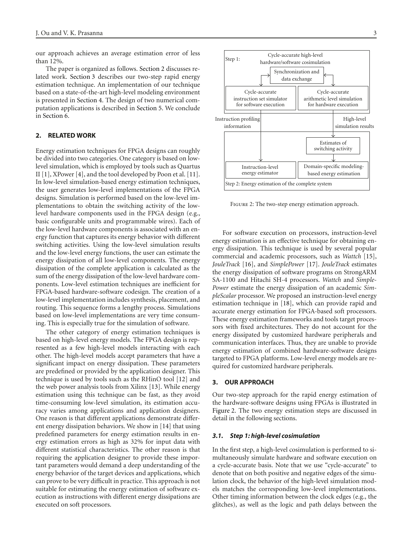our approach achieves an average estimation error of less than 12%.

The paper is organized as follows. [Section 2](#page-2-0) discusses related work. [Section 3](#page-2-1) describes our two-step rapid energy estimation technique. An implementation of our technique based on a state-of-the-art high-level modeling environment is presented in [Section 4.](#page-4-0) The design of two numerical computation applications is described in [Section 5.](#page-7-0) We conclude in [Section 6.](#page-9-6)

## <span id="page-2-0"></span>**2. RELATED WORK**

Energy estimation techniques for FPGA designs can roughly be divided into two categories. One category is based on lowlevel simulation, which is employed by tools such as Quartus II [\[1](#page-9-1)], XPower [\[4\]](#page-9-4), and the tool developed by Poon et al. [\[11](#page-10-5)]. In low-level simulation-based energy estimation techniques, the user generates low-level implementations of the FPGA designs. Simulation is performed based on the low-level implementations to obtain the switching activity of the lowlevel hardware components used in the FPGA design (e.g., basic configurable units and programmable wires). Each of the low-level hardware components is associated with an energy function that captures its energy behavior with different switching activities. Using the low-level simulation results and the low-level energy functions, the user can estimate the energy dissipation of all low-level components. The energy dissipation of the complete application is calculated as the sum of the energy dissipation of the low-level hardware components. Low-level estimation techniques are inefficient for FPGA-based hardware-software codesign. The creation of a low-level implementation includes synthesis, placement, and routing. This sequence forms a lengthy process. Simulations based on low-level implementations are very time consuming. This is especially true for the simulation of software.

The other category of energy estimation techniques is based on high-level energy models. The FPGA design is represented as a few high-level models interacting with each other. The high-level models accept parameters that have a significant impact on energy dissipation. These parameters are predefined or provided by the application designer. This technique is used by tools such as the RHinO tool [\[12\]](#page-10-6) and the web power analysis tools from Xilinx [\[13\]](#page-10-7). While energy estimation using this technique can be fast, as they avoid time-consuming low-level simulation, its estimation accuracy varies among applications and application designers. One reason is that different applications demonstrate different energy dissipation behaviors. We show in [\[14\]](#page-10-8) that using predefined parameters for energy estimation results in energy estimation errors as high as 32% for input data with different statistical characteristics. The other reason is that requiring the application designer to provide these important parameters would demand a deep understanding of the energy behavior of the target devices and applications, which can prove to be very difficult in practice. This approach is not suitable for estimating the energy estimation of software execution as instructions with different energy dissipations are executed on soft processors.



Figure 2: The two-step energy estimation approach.

<span id="page-2-2"></span>For software execution on processors, instruction-level energy estimation is an effective technique for obtaining energy dissipation. This technique is used by several popular commercial and academic processors, such as *Wattch* [\[15](#page-10-9)], *JouleTrack* [\[16\]](#page-10-10), and *SimplePower* [\[17\]](#page-10-11). *JouleTrack* estimates the energy dissipation of software programs on StrongARM SA-1100 and Hitachi SH-4 processors. *Wattch* and *Simple-Power* estimate the energy dissipation of an academic *SimpleScalar* processor. We proposed an instruction-level energy estimation technique in [\[18\]](#page-10-12), which can provide rapid and accurate energy estimation for FPGA-based soft processors. These energy estimation frameworks and tools target processors with fixed architectures. They do not account for the energy dissipated by customized hardware peripherals and communication interfaces. Thus, they are unable to provide energy estimation of combined hardware-software designs targeted to FPGA platforms. Low-level energy models are required for customized hardware peripherals.

#### <span id="page-2-1"></span>**3. OUR APPROACH**

Our two-step approach for the rapid energy estimation of the hardware-software designs using FPGAs is illustrated in [Figure 2.](#page-2-2) The two energy estimation steps are discussed in detail in the following sections.

#### <span id="page-2-3"></span>*3.1. Step 1: high-level cosimulation*

In the first step, a high-level cosimulation is performed to simultaneously simulate hardware and software execution on a cycle-accurate basis. Note that we use "cycle-accurate" to denote that on both positive and negative edges of the simulation clock, the behavior of the high-level simulation models matches the corresponding low-level implementations. Other timing information between the clock edges (e.g., the glitches), as well as the logic and path delays between the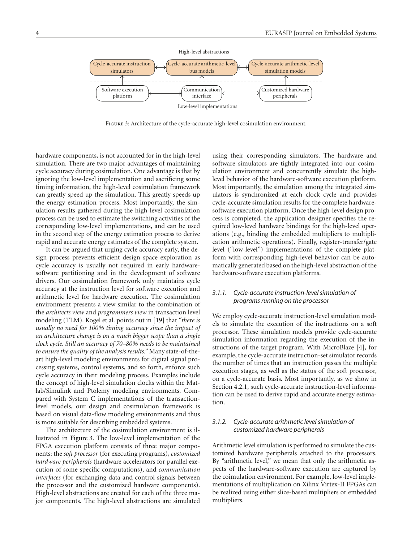

<span id="page-3-0"></span>Figure 3: Architecture of the cycle-accurate high-level cosimulation environment.

hardware components, is not accounted for in the high-level simulation. There are two major advantages of maintaining cycle accuracy during cosimulation. One advantage is that by ignoring the low-level implementation and sacrificing some timing information, the high-level cosimulation framework can greatly speed up the simulation. This greatly speeds up the energy estimation process. Most importantly, the simulation results gathered during the high-level cosimulation process can be used to estimate the switching activities of the corresponding low-level implementations, and can be used in the second step of the energy estimation process to derive rapid and accurate energy estimates of the complete system.

It can be argued that urging cycle accuracy early, the design process prevents efficient design space exploration as cycle accuracy is usually not required in early hardwaresoftware partitioning and in the development of software drivers. Our cosimulation framework only maintains cycle accuracy at the instruction level for software execution and arithmetic level for hardware execution. The cosimulation environment presents a view similar to the combination of the *architects view* and *programmers view* in transaction level modeling (TLM). Kogel et al. points out in [\[19\]](#page-10-13) that *"there is usually no need for 100% timing accuracy since the impact of an architecture change is on a much bigger scope than a single clock cycle. Still an accuracy of 70–80% needs to be maintained to ensure the quality of the analysis results."* Many state-of-theart high-level modeling environments for digital signal processing systems, control systems, and so forth, enforce such cycle accuracy in their modeling process. Examples include the concept of high-level simulation clocks within the Matlab/Simulink and Ptolemy modeling environments. Compared with System C implementations of the transactionlevel models, our design and cosimulation framework is based on visual data-flow modeling environments and thus is more suitable for describing embedded systems.

The architecture of the cosimulation environment is illustrated in [Figure 3.](#page-3-0) The low-level implementation of the FPGA execution platform consists of three major components: the *soft processor* (for executing programs), *customized hardware peripherals* (hardware accelerators for parallel execution of some specific computations), and *communication interfaces* (for exchanging data and control signals between the processor and the customized hardware components). High-level abstractions are created for each of the three major components. The high-level abstractions are simulated

using their corresponding simulators. The hardware and software simulators are tightly integrated into our cosimulation environment and concurrently simulate the highlevel behavior of the hardware-software execution platform. Most importantly, the simulation among the integrated simulators is synchronized at each clock cycle and provides cycle-accurate simulation results for the complete hardwaresoftware execution platform. Once the high-level design process is completed, the application designer specifies the required low-level hardware bindings for the high-level operations (e.g., binding the embedded multipliers to multiplication arithmetic operations). Finally, register-transfer/gate level ("low-level") implementations of the complete platform with corresponding high-level behavior can be automatically generated based on the high-level abstraction of the hardware-software execution platforms.

## *3.1.1. Cycle-accurate instruction-level simulation of programs running on the processor*

We employ cycle-accurate instruction-level simulation models to simulate the execution of the instructions on a soft processor. These simulation models provide cycle-accurate simulation information regarding the execution of the instructions of the target program. With MicroBlaze [\[4\]](#page-9-4), for example, the cycle-accurate instruction-set simulator records the number of times that an instruction passes the multiple execution stages, as well as the status of the soft processor, on a cycle-accurate basis. Most importantly, as we show in [Section 4.2.1,](#page-6-0) such cycle-accurate instruction-level information can be used to derive rapid and accurate energy estimation.

# *3.1.2. Cycle-accurate arithmetic level simulation of customized hardware peripherals*

Arithmetic level simulation is performed to simulate the customized hardware peripherals attached to the processors. By "arithmetic level," we mean that only the arithmetic aspects of the hardware-software execution are captured by the coimulation environment. For example, low-level implementations of multiplication on Xilinx Virtex-II FPGAs can be realized using either slice-based multipliers or embedded multipliers.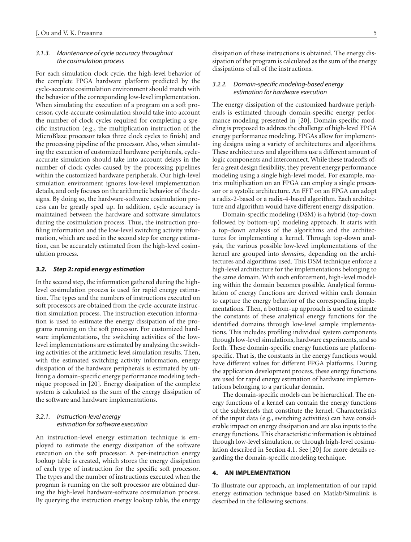# *3.1.3. Maintenance of cycle accuracy throughout the cosimulation process*

For each simulation clock cycle, the high-level behavior of the complete FPGA hardware platform predicted by the cycle-accurate cosimulation environment should match with the behavior of the corresponding low-level implementation. When simulating the execution of a program on a soft processor, cycle-accurate cosimulation should take into account the number of clock cycles required for completing a specific instruction (e.g., the multiplication instruction of the MicroBlaze processor takes three clock cycles to finish) and the processing pipeline of the processor. Also, when simulating the execution of customized hardware peripherals, cycleaccurate simulation should take into account delays in the number of clock cycles caused by the processing pipelines within the customized hardware peripherals. Our high-level simulation environment ignores low-level implementation details, and only focuses on the arithmetic behavior of the designs. By doing so, the hardware-software cosimulation process can be greatly sped up. In addition, cycle accuracy is maintained between the hardware and software simulators during the cosimulation process. Thus, the instruction profiling information and the low-level switching activity information, which are used in the second step for energy estimation, can be accurately estimated from the high-level cosimulation process.

#### *3.2. Step 2: rapid energy estimation*

In the second step, the information gathered during the highlevel cosimulation process is used for rapid energy estimation. The types and the numbers of instructions executed on soft processors are obtained from the cycle-accurate instruction simulation process. The instruction execution information is used to estimate the energy dissipation of the programs running on the soft processor. For customized hardware implementations, the switching activities of the lowlevel implementations are estimated by analyzing the switching activities of the arithmetic level simulation results. Then, with the estimated switching activity information, energy dissipation of the hardware peripherals is estimated by utilizing a domain-specific energy performance modeling technique proposed in [\[20](#page-10-14)]. Energy dissipation of the complete system is calculated as the sum of the energy dissipation of the software and hardware implementations.

### *3.2.1. Instruction-level energy estimation for software execution*

An instruction-level energy estimation technique is employed to estimate the energy dissipation of the software execution on the soft processor. A per-instruction energy lookup table is created, which stores the energy dissipation of each type of instruction for the specific soft processor. The types and the number of instructions executed when the program is running on the soft processor are obtained during the high-level hardware-software cosimulation process. By querying the instruction energy lookup table, the energy dissipation of these instructions is obtained. The energy dissipation of the program is calculated as the sum of the energy dissipations of all of the instructions.

## <span id="page-4-1"></span>*3.2.2. Domain-specific modeling-based energy estimation for hardware execution*

The energy dissipation of the customized hardware peripherals is estimated through domain-specific energy performance modeling presented in [\[20\]](#page-10-14). Domain-specific modeling is proposed to address the challenge of high-level FPGA energy performance modeling. FPGAs allow for implementing designs using a variety of architectures and algorithms. These architectures and algorithms use a different amount of logic components and interconnect. While these tradeoffs offer a great design flexibility, they prevent energy performance modeling using a single high-level model. For example, matrix multiplication on an FPGA can employ a single processor or a systolic architecture. An FFT on an FPGA can adopt a radix-2-based or a radix-4-based algorithm. Each architecture and algorithm would have different energy dissipation.

Domain-specific modeling (DSM) is a hybrid (top-down followed by bottom-up) modeling approach. It starts with a top-down analysis of the algorithms and the architectures for implementing a kernel. Through top-down analysis, the various possible low-level implementations of the kernel are grouped into *domains*, depending on the architectures and algorithms used. This DSM technique enforce a high-level architecture for the implementations belonging to the same domain. With such enforcement, high-level modeling within the domain becomes possible. Analytical formulation of energy functions are derived within each domain to capture the energy behavior of the corresponding implementations. Then, a bottom-up approach is used to estimate the constants of these analytical energy functions for the identified domains through low-level sample implementations. This includes profiling individual system components through low-level simulations, hardware experiments, and so forth. These domain-specific energy functions are platformspecific. That is, the constants in the energy functions would have different values for different FPGA platforms. During the application development process, these energy functions are used for rapid energy estimation of hardware implementations belonging to a particular domain.

The domain-specific models can be hierarchical. The energy functions of a kernel can contain the energy functions of the subkernels that constitute the kernel. Characteristics of the input data (e.g., switching activities) can have considerable impact on energy dissipation and are also inputs to the energy functions. This characteristic information is obtained through low-level simulation, or through high-level cosimulation described in [Section 4.1.](#page-5-0) See [\[20\]](#page-10-14) for more details regarding the domain-specific modeling technique.

#### <span id="page-4-0"></span>**4. AN IMPLEMENTATION**

To illustrate our approach, an implementation of our rapid energy estimation technique based on Matlab/Simulink is described in the following sections.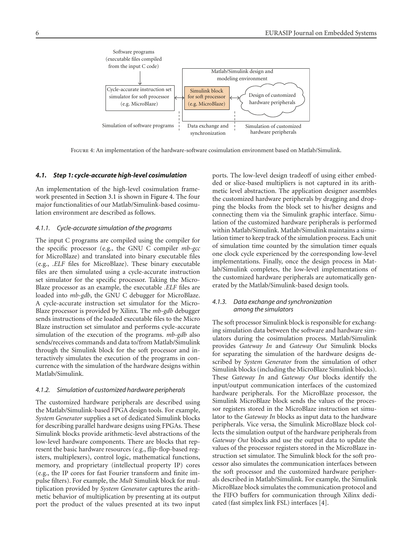

Figure 4: An implementation of the hardware-software cosimulation environment based on Matlab/Simulink.

#### <span id="page-5-1"></span><span id="page-5-0"></span>*4.1. Step 1: cycle-accurate high-level cosimulation*

An implementation of the high-level cosimulation framework presented in [Section 3.1](#page-2-3) is shown in [Figure 4.](#page-5-1) The four major functionalities of our Matlab/Simulink-based cosimulation environment are described as follows.

#### *4.1.1. Cycle-accurate simulation of the programs*

The input C programs are compiled using the compiler for the specific processor (e.g., the GNU C compiler *mb-gcc* for MicroBlaze) and translated into binary executable files (e.g., *.ELF* files for MicroBlaze). These binary executable files are then simulated using a cycle-accurate instruction set simulator for the specific processor. Taking the Micro-Blaze processor as an example, the executable *.ELF* files are loaded into *mb-gdb*, the GNU C debugger for MicroBlaze. A cycle-accurate instruction set simulator for the Micro-Blaze processor is provided by Xilinx. The *mb-gdb* debugger sends instructions of the loaded executable files to the Micro Blaze instruction set simulator and performs cycle-accurate simulation of the execution of the programs. *mb-gdb* also sends/receives commands and data to/from Matlab/Simulink through the Simulink block for the soft processor and interactively simulates the execution of the programs in concurrence with the simulation of the hardware designs within Matlab/Simulink.

#### *4.1.2. Simulation of customized hardware peripherals*

The customized hardware peripherals are described using the Matlab/Simulink-based FPGA design tools. For example, *System Generator* supplies a set of dedicated Simulink blocks for describing parallel hardware designs using FPGAs. These Simulink blocks provide arithmetic-level abstractions of the low-level hardware components. There are blocks that represent the basic hardware resources (e.g., flip-flop-based registers, multiplexers), control logic, mathematical functions, memory, and proprietary (intellectual property IP) cores (e.g., the IP cores for fast Fourier transform and finite impulse filters). For example, the *Mult* Simulink block for multiplication provided by *System Generator* captures the arithmetic behavior of multiplication by presenting at its output port the product of the values presented at its two input ports. The low-level design tradeoff of using either embedded or slice-based multipliers is not captured in its arithmetic level abstraction. The application designer assembles the customized hardware peripherals by dragging and dropping the blocks from the block set to his/her designs and connecting them via the Simulink graphic interface. Simulation of the customized hardware peripherals is performed within Matlab/Simulink. Matlab/Simulink maintains a simulation timer to keep track of the simulation process. Each unit of simulation time counted by the simulation timer equals one clock cycle experienced by the corresponding low-level implementations. Finally, once the design process in Matlab/Simulink completes, the low-level implementations of the customized hardware peripherals are automatically generated by the Matlab/Simulink-based design tools.

## *4.1.3. Data exchange and synchronization among the simulators*

The soft processor Simulink block is responsible for exchanging simulation data between the software and hardware simulators during the cosimulation process. Matlab/Simulink provides *Gateway In* and *Gateway Out* Simulink blocks for separating the simulation of the hardware designs described by *System Generator* from the simulation of other Simulink blocks (including the MicroBlaze Simulink blocks). These *Gateway In* and *Gateway Out* blocks identify the input/output communication interfaces of the customized hardware peripherals. For the MicroBlaze processor, the Simulink MicroBlaze block sends the values of the processor registers stored in the MicroBlaze instruction set simulator to the *Gateway In* blocks as input data to the hardware peripherals. Vice versa, the Simulink MicroBlaze block collects the simulation output of the hardware peripherals from *Gateway Out* blocks and use the output data to update the values of the processor registers stored in the MicroBlaze instruction set simulator. The Simulink block for the soft processor also simulates the communication interfaces between the soft processor and the customized hardware peripherals described in Matlab/Simulink. For example, the Simulink MicroBlaze block simulates the communication protocol and the FIFO buffers for communication through Xilinx dedicated (fast simplex link FSL) interfaces [\[4](#page-9-4)].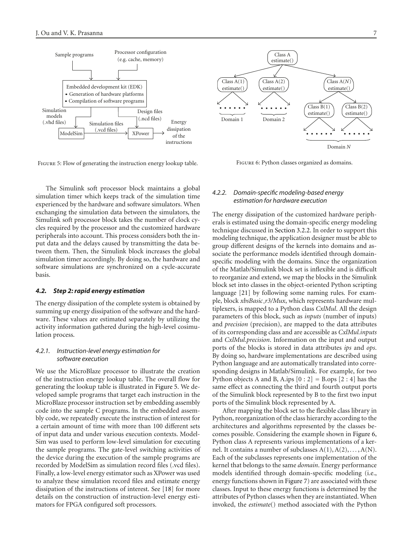

<span id="page-6-1"></span>Figure 5: Flow of generating the instruction energy lookup table.

The Simulink soft processor block maintains a global simulation timer which keeps track of the simulation time experienced by the hardware and software simulators. When exchanging the simulation data between the simulators, the Simulink soft processor block takes the number of clock cycles required by the processor and the customized hardware peripherals into account. This process considers both the input data and the delays caused by transmitting the data between them. Then, the Simulink block increases the global simulation timer accordingly. By doing so, the hardware and software simulations are synchronized on a cycle-accurate basis.

#### *4.2. Step 2: rapid energy estimation*

The energy dissipation of the complete system is obtained by summing up energy dissipation of the software and the hardware. These values are estimated separately by utilizing the activity information gathered during the high-level cosimulation process.

## <span id="page-6-0"></span>*4.2.1. Instruction-level energy estimation for software execution*

We use the MicroBlaze processor to illustrate the creation of the instruction energy lookup table. The overall flow for generating the lookup table is illustrated in [Figure 5.](#page-6-1) We developed sample programs that target each instruction in the MicroBlaze processor instruction set by embedding assembly code into the sample C programs. In the embedded assembly code, we repeatedly execute the instruction of interest for a certain amount of time with more than 100 different sets of input data and under various execution contexts. Model-Sim was used to perform low-level simulation for executing the sample programs. The gate-level switching activities of the device during the execution of the sample programs are recorded by ModelSim as simulation record files (.vcd files). Finally, a low-level energy estimator such as XPower was used to analyze these simulation record files and estimate energy dissipation of the instructions of interest. See [\[18](#page-10-12)] for more details on the construction of instruction-level energy estimators for FPGA configured soft processors.



<span id="page-6-2"></span>FIGURE 6: Python classes organized as domains.

## *4.2.2. Domain-specific modeling-based energy estimation for hardware execution*

The energy dissipation of the customized hardware peripherals is estimated using the domain-specific energy modeling technique discussed in [Section 3.2.2.](#page-4-1) In order to support this modeling technique, the application designer must be able to group different designs of the kernels into domains and associate the performance models identified through domainspecific modeling with the domains. Since the organization of the Matlab/Simulink block set is inflexible and is difficult to reorganize and extend, we map the blocks in the Simulink block set into classes in the object-oriented Python scripting language [\[21](#page-10-15)] by following some naming rules. For example, block *xbsBasic r3/Mux*, which represents hardware multiplexers, is mapped to a Python class *CxlMul*. All the design parameters of this block, such as *inputs* (number of inputs) and *precision* (precision), are mapped to the data attributes of its corresponding class and are accessible as *CxlMul.inputs* and *CxlMul.precision*. Information on the input and output ports of the blocks is stored in data attributes *ips* and *ops*. By doing so, hardware implementations are described using Python language and are automatically translated into corresponding designs in Matlab/Simulink. For example, for two Python objects A and B, A.ips  $[0:2] =$  B.ops  $[2:4]$  has the same effect as connecting the third and fourth output ports of the Simulink block represented by B to the first two input ports of the Simulink block represented by A.

After mapping the block set to the flexible class library in Python, reorganization of the class hierarchy according to the architectures and algorithms represented by the classes becomes possible. Considering the example shown in [Figure 6,](#page-6-2) Python class A represents various implementations of a kernel. It contains a number of subclasses A(1), A(2), *...* , A(N). Each of the subclasses represents one implementation of the kernel that belongs to the same *domain*. Energy performance models identified through domain-specific modeling (i.e., energy functions shown in [Figure 7\)](#page-7-1) are associated with these classes. Input to these energy functions is determined by the attributes of Python classes when they are instantiated. When invoked, the *estimate*() method associated with the Python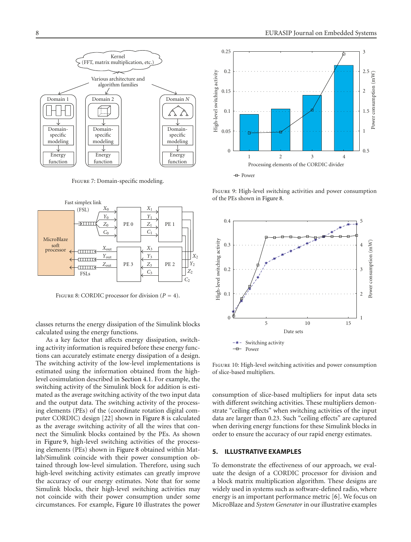

Figure 7: Domain-specific modeling.

<span id="page-7-1"></span>

FIGURE 8: CORDIC processor for division  $(P = 4)$ .

<span id="page-7-2"></span>classes returns the energy dissipation of the Simulink blocks calculated using the energy functions.

As a key factor that affects energy dissipation, switching activity information is required before these energy functions can accurately estimate energy dissipation of a design. The switching activity of the low-level implementations is estimated using the information obtained from the highlevel cosimulation described in [Section 4.1.](#page-5-0) For example, the switching activity of the Simulink block for addition is estimated as the average switching activity of the two input data and the output data. The switching activity of the processing elements (PEs) of the (coordinate rotation digital computer CORDIC) design [\[22\]](#page-10-16) shown in [Figure 8](#page-7-2) is calculated as the average switching activity of all the wires that connect the Simulink blocks contained by the PEs. As shown in [Figure 9,](#page-7-3) high-level switching activities of the processing elements (PEs) shown in [Figure 8](#page-7-2) obtained within Matlab/Simulink coincide with their power consumption obtained through low-level simulation. Therefore, using such high-level switching activity estimates can greatly improve the accuracy of our energy estimates. Note that for some Simulink blocks, their high-level switching activities may not coincide with their power consumption under some circumstances. For example, [Figure 10](#page-7-4) illustrates the power



<span id="page-7-3"></span>FIGURE 9: High-level switching activities and power consumption of the PEs shown in [Figure 8.](#page-7-2)



<span id="page-7-4"></span>FIGURE 10: High-level switching activities and power consumption of slice-based multipliers.

consumption of slice-based multipliers for input data sets with different switching activities. These multipliers demonstrate "ceiling effects" when switching activities of the input data are larger than 0.23. Such "ceiling effects" are captured when deriving energy functions for these Simulink blocks in order to ensure the accuracy of our rapid energy estimates.

### <span id="page-7-0"></span>**5. ILLUSTRATIVE EXAMPLES**

To demonstrate the effectiveness of our approach, we evaluate the design of a CORDIC processor for division and a block matrix multiplication algorithm. These designs are widely used in systems such as software-defined radio, where energy is an important performance metric [\[6](#page-10-0)]. We focus on MicroBlaze and *System Generator* in our illustrative examples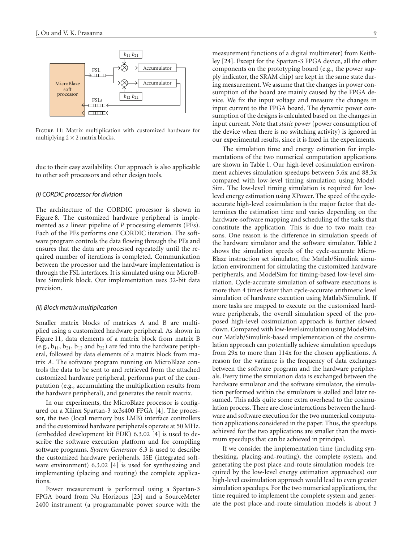

<span id="page-8-0"></span>Figure 11: Matrix multiplication with customized hardware for multiplying  $2 \times 2$  matrix blocks.

due to their easy availability. Our approach is also applicable to other soft processors and other design tools.

#### *(i) CORDIC processor for division*

The architecture of the CORDIC processor is shown in [Figure 8.](#page-7-2) The customized hardware peripheral is implemented as a linear pipeline of *P* processing elements (PEs). Each of the PEs performs one CORDIC iteration. The software program controls the data flowing through the PEs and ensures that the data are processed repeatedly until the required number of iterations is completed. Communication between the processor and the hardware implementation is through the FSL interfaces. It is simulated using our MicroBlaze Simulink block. Our implementation uses 32-bit data precision.

#### *(ii) Block matrix multiplication*

Smaller matrix blocks of matrices A and B are multiplied using a customized hardware peripheral. As shown in [Figure 11,](#page-8-0) data elements of a matrix block from matrix B (e.g.,  $b_{11}$ ,  $b_{21}$ ,  $b_{12}$  and  $b_{22}$ ) are fed into the hardware peripheral, followed by data elements of a matrix block from matrix *A*. The software program running on MicroBlaze controls the data to be sent to and retrieved from the attached customized hardware peripheral, performs part of the computation (e.g., accumulating the multiplication results from the hardware peripheral), and generates the result matrix.

In our experiments, the MicroBlaze processor is configured on a Xilinx Spartan-3 xc3s400 FPGA [\[4\]](#page-9-4). The processor, the two (local memory bus LMB) interface controllers and the customized hardware peripherals operate at 50 MHz. (embedded development kit EDK) 6.3.02 [\[4\]](#page-9-4) is used to describe the software execution platform and for compiling software programs. *System Generator* 6.3 is used to describe the customized hardware peripherals. ISE (integrated software environment) 6.3.02 [\[4\]](#page-9-4) is used for synthesizing and implementing (placing and routing) the complete applications.

Power measurement is performed using a Spartan-3 FPGA board from Nu Horizons [\[23\]](#page-10-17) and a SourceMeter 2400 instrument (a programmable power source with the measurement functions of a digital multimeter) from Keithley [\[24](#page-10-18)]. Except for the Spartan-3 FPGA device, all the other components on the prototyping board (e.g., the power supply indicator, the SRAM chip) are kept in the same state during measurement. We assume that the changes in power consumption of the board are mainly caused by the FPGA device. We fix the input voltage and measure the changes in input current to the FPGA board. The dynamic power consumption of the designs is calculated based on the changes in input current. Note that *static power* (power consumption of the device when there is no switching activity) is ignored in our experimental results, since it is fixed in the experiments.

The simulation time and energy estimation for implementations of the two numerical computation applications are shown in [Table 1.](#page-9-7) Our high-level cosimulation environment achieves simulation speedups between 5.6x and 88.5x compared with low-level timing simulation using Model-Sim. The low-level timing simulation is required for lowlevel energy estimation using XPower. The speed of the cycleaccurate high-level cosimulation is the major factor that determines the estimation time and varies depending on the hardware-software mapping and scheduling of the tasks that constitute the application. This is due to two main reasons. One reason is the difference in simulation speeds of the hardware simulator and the software simulator. [Table 2](#page-9-8) shows the simulation speeds of the cycle-accurate Micro-Blaze instruction set simulator, the Matlab/Simulink simulation environment for simulating the customized hardware peripherals, and ModelSim for timing-based low-level simulation. Cycle-accurate simulation of software executions is more than 4 times faster than cycle-accurate arithmetic level simulation of hardware execution using Matlab/Simulink. If more tasks are mapped to execute on the customized hardware peripherals, the overall simulation speed of the proposed high-level cosimulation approach is further slowed down. Compared with low-level simulation using ModelSim, our Matlab/Simulink-based implementation of the cosimulation approach can potentially achieve simulation speedups from 29x to more than 114x for the chosen applications. A reason for the variance is the frequency of data exchanges between the software program and the hardware peripherals. Every time the simulation data is exchanged between the hardware simulator and the software simulator, the simulation performed within the simulators is stalled and later resumed. This adds quite some extra overhead to the cosimulation process. There are close interactions between the hardware and software execution for the two numerical computation applications considered in the paper. Thus, the speedups achieved for the two applications are smaller than the maximum speedups that can be achieved in principal.

If we consider the implementation time (including synthesizing, placing-and-routing), the complete system, and generating the post place-and-route simulation models (required by the low-level energy estimation approaches) our high-level cosimulation approach would lead to even greater simulation speedups. For the two numerical applications, the time required to implement the complete system and generate the post place-and-route simulation models is about 3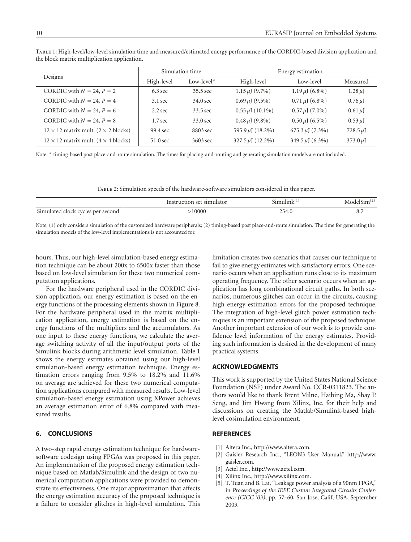| Designs                                            | Simulation time   |                    | Energy estimation      |                       |                 |
|----------------------------------------------------|-------------------|--------------------|------------------------|-----------------------|-----------------|
|                                                    | High-level        | $Low-level*$       | High-level             | Low-level             | Measured        |
| CORDIC with $N = 24$ , $P = 2$                     | $6.3 \text{ sec}$ | $35.5 \text{ sec}$ | $1.15 \mu J (9.7\%)$   | $1.19 \mu J (6.8\%)$  | $1.28 \mu$ J    |
| CORDIC with $N = 24$ , $P = 4$                     | $3.1$ sec         | $34.0$ sec         | $0.69 \mu J (9.5\%)$   | $0.71 \,\mu$ J (6.8%) | $0.76 \mu$ J    |
| CORDIC with $N = 24$ , $P = 6$                     | $2.2$ sec         | 33.5 sec           | $0.55 \mu J (10.1\%)$  | $0.57 \mu J (7.0\%)$  | $0.61 \mu J$    |
| CORDIC with $N = 24$ , $P = 8$                     | $1.7$ sec         | 33.0 sec           | $0.48 \mu J (9.8\%)$   | $0.50 \mu J (6.5\%)$  | $0.53 \mu J$    |
| $12 \times 12$ matrix mult. ( $2 \times 2$ blocks) | 99.4 sec          | 8803 sec           | 595.9 $\mu$ J (18.2%)  | $675.3 \mu J (7.3\%)$ | 728.5 $\mu$ J   |
| $12 \times 12$ matrix mult. $(4 \times 4$ blocks)  | 51.0 sec          | 3603 sec           | $327.5 \mu J (12.2\%)$ | $349.5 \mu J (6.3\%)$ | $373.0 \,\mu$ J |

<span id="page-9-7"></span>Table 1: High-level/low-level simulation time and measured/estimated energy performance of the CORDIC-based division application and the block matrix multiplication application.

Note: <sup>∗</sup> timing-based post place-and-route simulation. The times for placing-and-routing and generating simulation models are not included.

<span id="page-9-8"></span>Table 2: Simulation speeds of the hardware-software simulators considered in this paper.

|                                   | Instruction set simulator | $\cdots$<br>$5$ imulink $\lambda$ <sup>1</sup> | ModelSim <sup>(2)</sup> |
|-----------------------------------|---------------------------|------------------------------------------------|-------------------------|
| Simulated clock cycles per second | $-10000$                  | 254.0                                          |                         |

Note: (1) only considers simulation of the customized hardware peripherals; (2) timing-based post place-and-route simulation. The time for generating the simulation models of the low-level implementations is not accounted for.

hours. Thus, our high-level simulation-based energy estimation technique can be about 200x to 6500x faster than those based on low-level simulation for these two numerical computation applications.

For the hardware peripheral used in the CORDIC division application, our energy estimation is based on the energy functions of the processing elements shown in [Figure 8.](#page-7-2) For the hardware peripheral used in the matrix multiplication application, energy estimation is based on the energy functions of the multipliers and the accumulators. As one input to these energy functions, we calculate the average switching activity of all the input/output ports of the Simulink blocks during arithmetic level simulation. [Table 1](#page-9-7) shows the energy estimates obtained using our high-level simulation-based energy estimation technique. Energy estimation errors ranging from 9.5% to 18.2% and 11.6% on average are achieved for these two numerical computation applications compared with measured results. Low-level simulation-based energy estimation using XPower achieves an average estimation error of 6.8% compared with measured results.

## <span id="page-9-6"></span>**6. CONCLUSIONS**

A two-step rapid energy estimation technique for hardwaresoftware codesign using FPGAs was proposed in this paper. An implementation of the proposed energy estimation technique based on Matlab/Simulink and the design of two numerical computation applications were provided to demonstrate its effectiveness. One major approximation that affects the energy estimation accuracy of the proposed technique is a failure to consider glitches in high-level simulation. This limitation creates two scenarios that causes our technique to fail to give energy estimates with satisfactory errors. One scenario occurs when an application runs close to its maximum operating frequency. The other scenario occurs when an application has long combinational circuit paths. In both scenarios, numerous glitches can occur in the circuits, causing high energy estimation errors for the proposed technique. The integration of high-level glitch power estimation techniques is an important extension of the proposed technique. Another important extension of our work is to provide confidence level information of the energy estimates. Providing such information is desired in the development of many practical systems.

### **ACKNOWLEDGMENTS**

This work is supported by the United States National Science Foundation (NSF) under Award No. CCR-0311823. The authors would like to thank Brent Milne, Haibing Ma, Shay P. Seng, and Jim Hwang from Xilinx, Inc. for their help and discussions on creating the Matlab/Simulink-based highlevel cosimulation environment.

#### <span id="page-9-1"></span><span id="page-9-0"></span>**REFERENCES**

- [1] Altera Inc., [http://www.altera.com.](http://www.altera.com)
- <span id="page-9-2"></span>[2] Gaisler Research Inc., "LEON3 User Manual," [http://www.](http://www.gaisler.com) [gaisler.com.](http://www.gaisler.com)
- <span id="page-9-3"></span>[3] Actel Inc., [http://www.actel.com.](http://www.actel.com)
- [4] Xilinx Inc., [http://www.xilinx.com.](http://www.xilinx.com)
- <span id="page-9-5"></span><span id="page-9-4"></span>[5] T. Tuan and B. Lai, "Leakage power analysis of a 90nm FPGA," in *Proceedings of the IEEE Custom Integrated Circuits Conference (CICC '03)*, pp. 57–60, San Jose, Calif, USA, September 2003.